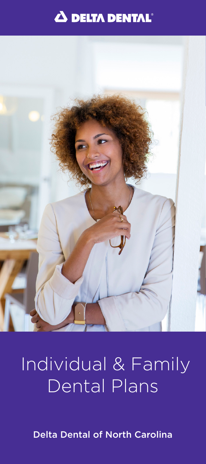



## Individual & Family Dental Plans

Delta Dental of North Carolina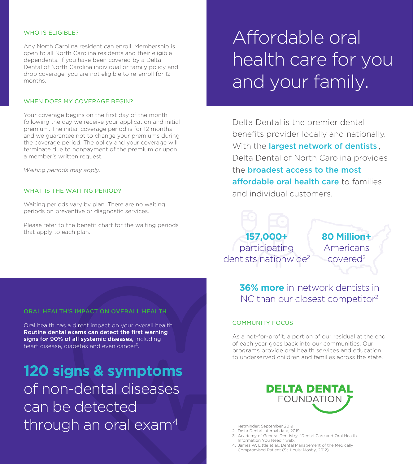#### WHO IS ELIGIBLE?

Any North Carolina resident can enroll. Membership is open to all North Carolina residents and their eligible dependents. If you have been covered by a Delta Dental of North Carolina individual or family policy and drop coverage, you are not eligible to re-enroll for 12 months.

#### WHEN DOES MY COVERAGE BEGIN?

Your coverage begins on the first day of the month following the day we receive your application and initial premium. The initial coverage period is for 12 months and we guarantee not to change your premiums during the coverage period. The policy and your coverage will terminate due to nonpayment of the premium or upon a member's written request.

*Waiting periods may apply.*

### WHAT IS THE WAITING PERIOD?

Waiting periods vary by plan. There are no waiting periods on preventive or diagnostic services.

Please refer to the benefit chart for the waiting periods that apply to each plan.

## Affordable oral health care for you and your family.

Delta Dental is the premier dental benefits provider locally and nationally. With the largest network of dentists<sup>1</sup>, Delta Dental of North Carolina provides the **broadest access to the most** affordable oral health care to families and individual customers.

**157,000+** participating dentists nationwide<sup>2</sup>

**80 Million+** Americans covered2

**36% more** in-network dentists in NC than our closest competitor<sup>2</sup>

## COMMUNITY FOCUS

As a not-for-profit, a portion of our residual at the end of each year goes back into our communities. Our programs provide oral health services and education to underserved children and families across the state.

**120 signs & symptoms** of non-dental diseases can be detected through an oral exam<sup>4</sup>



- 1. Netminder; September 2019
- 2. Delta Dental internal data, 2019
- 3. Academy of General Dentistry, "Dental Care and Oral Health Information You Need," web.
- 4. James W. Little et al., Dental Management of the Medically Compromised Patient (St. Louis: Mosby, 2012).

## ORAL HEALTH'S IMPACT ON OVERALL HEALTH

Oral health has a direct impact on your overall health. Routine dental exams can detect the first warning signs for 90% of all systemic diseases, including heart disease, diabetes and even cancer<sup>3</sup>.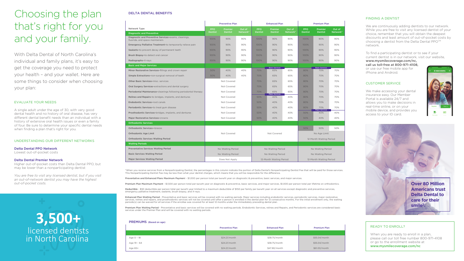## FINDING A DENTIST

We are continuously adding dentists to our network. While you are free to visit any licensed dentist of your choice, remember that you will obtain the deepest discounts and least amount of out-of-pocket costs by choosing a dentist from the Delta Dental PPO™ network.

We make accessing your dental insurance easy. Our Member Portal is available 24/7 and allows you to make decisions in real-time online, or on your mobile device, and provides you access to your ID card.



To find a participating dentist or to see if your current dentist is in our network, visit our website,

www.mysmilecoverage.com/nc, call us toll-free at 800-971-4108, or use our free mobile app for

When you are ready to enroll in a plan, please call our toll free number 800-971-4108 or go to the enrollment website at www.mysmilecoverage.com/nc

iPhone and Android.

## CUSTOMER SERVICE



## READY TO ENROLL?

# Choosing the plan that's right for you and your family.

With Delta Dental of North Carolina's individual and family plans, it's easy to get the coverage you need to protect your health – and your wallet. Here are some things to consider when choosing your plan:

### EVALUATE YOUR NEEDS

Deductible - \$50 deductible per person total per benefit year limited to a maximum deductible of \$150 per family per benefit year on all services except diagnostic and preventive services, emergency palliative treatment, sealants, brush biopsy, and X-rays.

A single adult under the age of 30, with very good dental health and no history of oral disease, has very different dental benefit needs than an individual with a history of extensive oral health issues or even a family of four. Be sure to determine your specific dental needs when finding a plan that's right for you.

#### UNDERSTANDING OUR DIFFERENT NETWORKS

Delta Dental PPO Network Lowest out-of-pocket costs

> Enhanced Plan Waiting Period - Preventative and basic services will be covered with no waiting periods. Major services including endodontic services, periodontic services, major restorative services, relines and repairs, and prosthodontic services will not be covered until after a person is enrolled in the dental plan for 12 consecutive months. For the initial enrollment only, the waiting periods(s) can be waived for all services if the enrollee was covered for at least 12 months under the immediately preceding dental plan.

#### Delta Dental Premier Network

Higher out-of-pocket costs than Delta Dental PPO, but may be lower than a nonparticipating dentist

> Premium Plan Waiting Period - Preventative and basic services will be covered with no waiting periods. Endodontic Services, relines and Repairs, and Periodontic services are considered basic services under the Premier Plan and will be covered with no waiting periods.

*You are free to visit any licensed dentist, but if you visit an out-of-network dentist you may have the highest out-of-pocket costs.* 



\*When you receive services from a Nonparticipating Dentist, the percentages in this column indicate the portion of Delta Dental's Nonparticipating Dentist Fee that will be paid for those services. This Nonparticipating Dentist Fee may be less than what your dentist charges, which means that you will be responsible for the difference.

Preventative and Enhanced Plans Maximum Payment - \$1,000 per person total per benefit year on diagnostic & preventive, basic services, and major services.

Premium Plan Maximum Payment - \$1,500 per person total per benefit year on diagnostic & preventive, basic services, and major services. \$1,000 per person total per lifetime on orthodontics.

|                                                                                         | <b>Preventive Plan</b> |                | <b>Enhanced Plan</b>    |                              |                              | <b>Premium Plan</b>     |                              |                              |          |
|-----------------------------------------------------------------------------------------|------------------------|----------------|-------------------------|------------------------------|------------------------------|-------------------------|------------------------------|------------------------------|----------|
| Network Type                                                                            | <b>PPO</b>             | Premier        | Out of                  | <b>PPO</b>                   | Premier                      | Out of                  | <b>PPO</b>                   | Premier                      | Out of   |
| <b>Diagnostic and Preventive</b>                                                        | <b>Dentist</b>         | <b>Dentist</b> | Network*                | <b>Dentist</b>               | <b>Dentist</b>               | Network*                | <b>Dentist</b>               | <b>Dentist</b>               | Network* |
| Diagnostic and Preventive Services-exams, cleanings,<br>fluoride, and space maintainers | 100%                   | 90%            | 90%                     | 100%                         | 90%                          | 90%                     | 100%                         | 90%                          | 90%      |
| Emergency Palliative Treatment-to temporarily relieve pain                              | 100%                   | 90%            | 90%                     | 100%                         | 90%                          | 90%                     | 100%                         | 90%                          | 90%      |
| Sealants-to prevent decay of permanent teeth                                            | 100%                   | 90%            | 90%                     | 100%                         | 90%                          | 90%                     | 100%                         | 90%                          | 90%      |
| Brush Biopsy-to detect oral cancer                                                      | 100%                   | 90%            | 90%                     | 100%                         | 90%                          | 90%                     | 100%                         | 90%                          | 90%      |
| Radiographs-X-rays                                                                      | 100%                   | 90%            | 90%                     | 100%                         | 90%                          | 90%                     | 100%                         | 90%                          | 90%      |
| <b>Basic and Major Services</b>                                                         |                        |                |                         |                              |                              |                         |                              |                              |          |
| Minor Restorative Services-fillings and crown repair                                    | 50%                    | 40%            | 40%                     | 70%                          | <b>Basic Services</b><br>65% | 65%                     | 80%                          | <b>Basic Services</b><br>70% | 70%      |
| Simple Extractions-non-surgical removal of teeth                                        | 50%                    | 40%            | 40%                     | 70%                          | 65%                          | 65%                     | 80%                          | 70%                          | 70%      |
| <b>Other Basic Services-misc. services</b>                                              | Not Covered            |                | 70%                     | 65%                          | 65%                          | 80%                     | 70%                          | 70%                          |          |
| Oral Surgery Services-extractions and dental surgery                                    | Not Covered            |                | 70%                     | 65%                          | 65%                          | 80%                     | 70%                          | 70%                          |          |
| Periodontal Maintenance-cleanings following periodontal therapy                         | Not Covered            |                | 70%                     | 65%                          | 65%                          | 80%                     | 70%                          | 70%                          |          |
| <b>Relines and Repairs-to bridges, implants, and dentures</b>                           | Not Covered            |                | 50%                     | <b>Major Services</b><br>40% | 40%                          | 80%                     | 70%                          | 70%                          |          |
| Endodontic Services-root canals                                                         | Not Covered            |                | 50%                     | 40%                          | 40%                          | 80%                     | 70%                          | 70%                          |          |
| Periodontic Services-to treat gum disease                                               | Not Covered            |                | 50%                     | 40%                          | 40%                          | 80%                     | 70%<br><b>Major Services</b> | 70%                          |          |
| Prosthodontic Services-bridges, implants, and dentures                                  | Not Covered            |                | 50%                     | 40%                          | 40%                          | 50%                     | 40%                          | 40%                          |          |
| Major Restorative Services-crowns                                                       | Not Covered            |                | 50%                     | 40%                          | 40%                          | 50%                     | 40%                          | 40%                          |          |
| <b>Orthodontic Services</b>                                                             |                        |                |                         |                              |                              |                         |                              |                              |          |
| <b>Orthodontic Services-braces</b>                                                      |                        |                |                         |                              |                              | 50%                     | 50%                          | 50%                          |          |
| <b>Orthodontic Age Limit</b>                                                            | Not Covered            |                | Not Covered             |                              |                              | No Age Limit            |                              |                              |          |
| <b>Orthodontic Services Waiting Period</b>                                              |                        |                |                         |                              |                              | 12-Month Waiting Period |                              |                              |          |
| <b>Waiting Periods</b>                                                                  |                        |                |                         |                              |                              |                         |                              |                              |          |
| <b>Preventative Services Waiting Period</b>                                             | No Waiting Period      |                | No Waiting Period       |                              |                              | No Waiting Period       |                              |                              |          |
| <b>Basic Services Waiting Period</b>                                                    | No Waiting Period      |                | No Waiting Period       |                              |                              | No Waiting Period       |                              |                              |          |
| <b>Major Services Waiting Period</b>                                                    | Does Not Apply         |                | 12-Month Waiting Period |                              |                              | 12-Month Waiting Period |                              |                              |          |

#### PREMIUMS (Based on age)



|             | <b>Preventive Plan</b> | <b>Enhanced Plan</b> |
|-------------|------------------------|----------------------|
|             |                        |                      |
| Age 0 - 18  | \$24.21/month          | \$38.75/month        |
| Age 19 - 64 | \$24.21/month          | \$38.75/month        |
| Age 65+     | \$24.21/month          | \$47.80/month        |

#### DELTA DENTAL BENEFITS